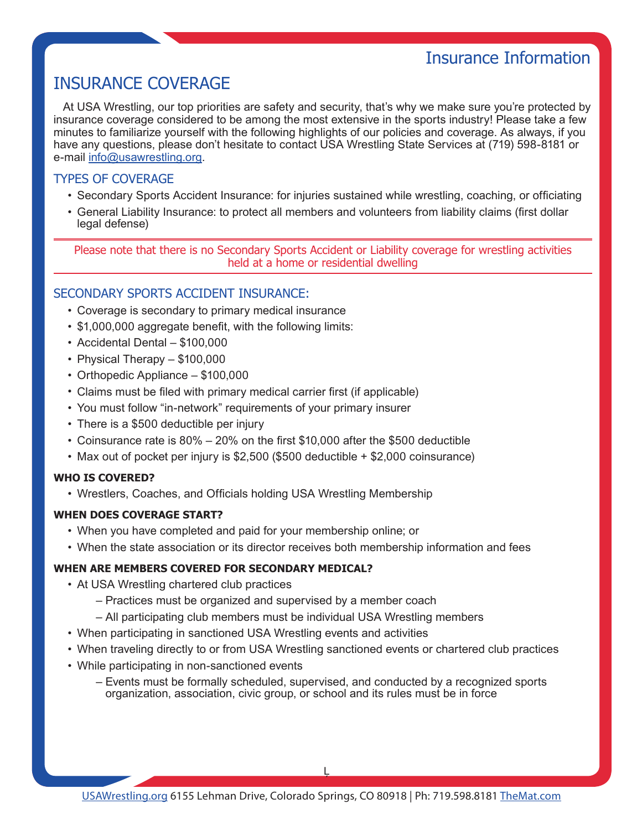# INSURANCE COVERAGE

At USA Wrestling, our top priorities are safety and security, that's why we make sure you're protected by insurance coverage considered to be among the most extensive in the sports industry! Please take a few minutes to familiarize yourself with the following highlights of our policies and coverage. As always, if you have any questions, please don't hesitate to contact USA Wrestling State Services at (719) 598-8181 or e-mail [info@usawrestling.org.](mailto:info@usawrestling.org)

## TYPES OF COVERAGE

- • Secondary Sports Accident Insurance: for injuries sustained while wrestling, coaching, or officiating
- • General Liability Insurance: to protect all members and volunteers from liability claims (first dollar legal defense)

Please note that there is no Secondary Sports Accident or Liability coverage for wrestling activities held at a home or residential dwelling

## SECONDARY SPORTS ACCIDENT INSURANCE:

- Coverage is secondary to primary medical insurance
- \$1,000,000 aggregate benefit, with the following limits:
- • Accidental Dental \$100,000
- Physical Therapy  $-$  \$100,000
- Orthopedic Appliance \$100,000
- Claims must be filed with primary medical carrier first (if applicable)
- You must follow "in-network" requirements of your primary insurer
- There is a \$500 deductible per injury
- • Coinsurance rate is 80% 20% on the first \$10,000 after the \$500 deductible
- Max out of pocket per injury is \$2,500 (\$500 deductible + \$2,000 coinsurance)

### **WHO IS COVERED?**

• Wrestlers, Coaches, and Officials holding USA Wrestling Membership

### **WHEN DOES COVERAGE START?**

- When you have completed and paid for your membership online; or
- • When the state association or its director receives both membership information and fees

### **WHEN ARE MEMBERS COVERED FOR SECONDARY MEDICAL?**

- At USA Wrestling chartered club practices
	- Practices must be organized and supervised by a member coach
	- All participating club members must be individual USA Wrestling members
- When participating in sanctioned USA Wrestling events and activities
- • When traveling directly to or from USA Wrestling sanctioned events or chartered club practices
- While participating in non-sanctioned events
	- Events must be formally scheduled, supervised, and conducted by a recognized sports organization, association, civic group, or school and its rules must be in force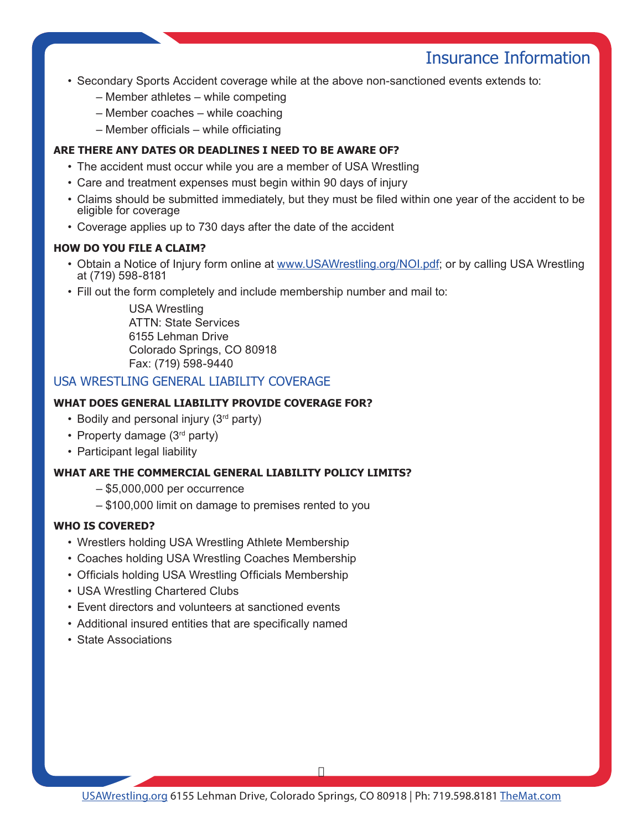# Insurance Information

- Secondary Sports Accident coverage while at the above non-sanctioned events extends to:
	- Member athletes while competing
	- Member coaches while coaching
	- Member officials while officiating

### **ARE THERE ANY DATES OR DEADLINES I NEED TO BE AWARE OF?**

- The accident must occur while you are a member of USA Wrestling
- Care and treatment expenses must begin within 90 days of injury
- • Claims should be submitted immediately, but they must be filed within one year of the accident to be eligible for coverage
- Coverage applies up to 730 days after the date of the accident

### **HOW DO YOU FILE A CLAIM?**

- • Obtain a Notice of Injury form online at [www.USAWrestling.org/NOI.pdf;](www.USAWrestling.org/NOI.pdf) or by calling USA Wrestling at (719) 598-8181
- Fill out the form completely and include membership number and mail to:

USA Wrestling ATTN: State Services 6155 Lehman Drive Colorado Springs, CO 80918 Fax: (719) 598-9440

### USA WRESTLING GENERAL LIABILITY COVERAGE

### **WHAT DOES GENERAL LIABILITY PROVIDE COVERAGE FOR?**

- Bodily and personal injury  $(3<sup>rd</sup>$  party)
- Property damage (3<sup>rd</sup> party)
- Participant legal liability

### **WHAT ARE THE COMMERCIAL GENERAL LIABILITY POLICY LIMITS?**

- \$5,000,000 per occurrence
- \$100,000 limit on damage to premises rented to you

### **WHO IS COVERED?**

- Wrestlers holding USA Wrestling Athlete Membership
- Coaches holding USA Wrestling Coaches Membership
- Officials holding USA Wrestling Officials Membership
- USA Wrestling Chartered Clubs
- Event directors and volunteers at sanctioned events
- Additional insured entities that are specifically named
- • State Associations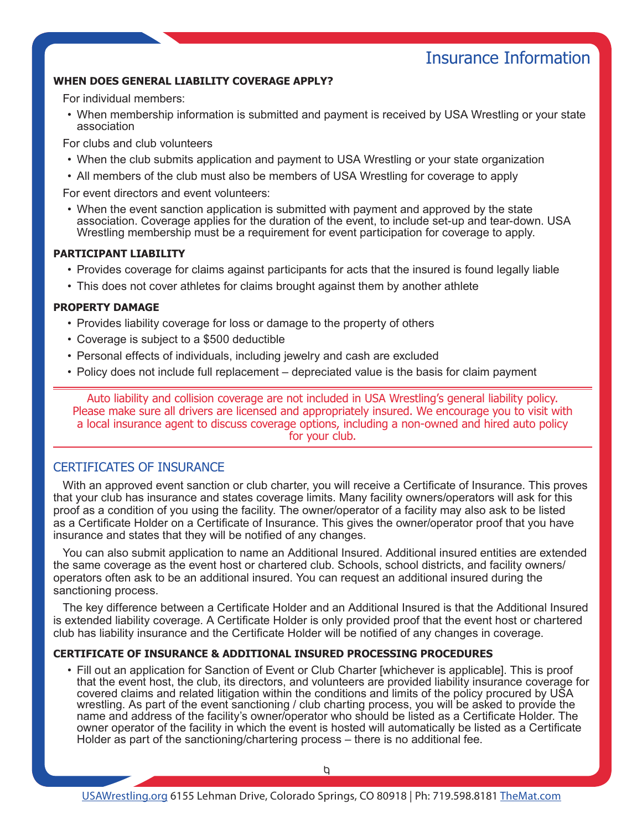# Insurance Information

### **WHEN DOES GENERAL LIABILITY COVERAGE APPLY?**

For individual members:

• When membership information is submitted and payment is received by USA Wrestling or your state association

For clubs and club volunteers

- When the club submits application and payment to USA Wrestling or your state organization
- • All members of the club must also be members of USA Wrestling for coverage to apply

For event directors and event volunteers:

• When the event sanction application is submitted with payment and approved by the state association. Coverage applies for the duration of the event, to include set-up and tear-down. USA Wrestling membership must be a requirement for event participation for coverage to apply.

### **PARTICIPANT LIABILITY**

- • Provides coverage for claims against participants for acts that the insured is found legally liable
- This does not cover athletes for claims brought against them by another athlete

#### **PROPERTY DAMAGE**

- Provides liability coverage for loss or damage to the property of others
- Coverage is subject to a \$500 deductible
- Personal effects of individuals, including jewelry and cash are excluded
- Policy does not include full replacement depreciated value is the basis for claim payment

Auto liability and collision coverage are not included in USA Wrestling's general liability policy. Please make sure all drivers are licensed and appropriately insured. We encourage you to visit with a local insurance agent to discuss coverage options, including a non-owned and hired auto policy for your club.

### CERTIFICATES OF INSURANCE

With an approved event sanction or club charter, you will receive a Certificate of Insurance. This proves that your club has insurance and states coverage limits. Many facility owners/operators will ask for this proof as a condition of you using the facility. The owner/operator of a facility may also ask to be listed as a Certificate Holder on a Certificate of Insurance. This gives the owner/operator proof that you have insurance and states that they will be notified of any changes.

You can also submit application to name an Additional Insured. Additional insured entities are extended the same coverage as the event host or chartered club. Schools, school districts, and facility owners/ operators often ask to be an additional insured. You can request an additional insured during the sanctioning process.

The key difference between a Certificate Holder and an Additional Insured is that the Additional Insured is extended liability coverage. A Certificate Holder is only provided proof that the event host or chartered club has liability insurance and the Certificate Holder will be notified of any changes in coverage.

### **CERTIFICATE OF INSURANCE & ADDITIONAL INSURED PROCESSING PROCEDURES**

• Fill out an application for Sanction of Event or Club Charter [whichever is applicable]. This is proof that the event host, the club, its directors, and volunteers are provided liability insurance coverage for covered claims and related litigation within the conditions and limits of the policy procured by USA wrestling. As part of the event sanctioning / club charting process, you will be asked to provide the name and address of the facility's owner/operator who should be listed as a Certificate Holder. The owner operator of the facility in which the event is hosted will automatically be listed as a Certificate Holder as part of the sanctioning/chartering process – there is no additional fee.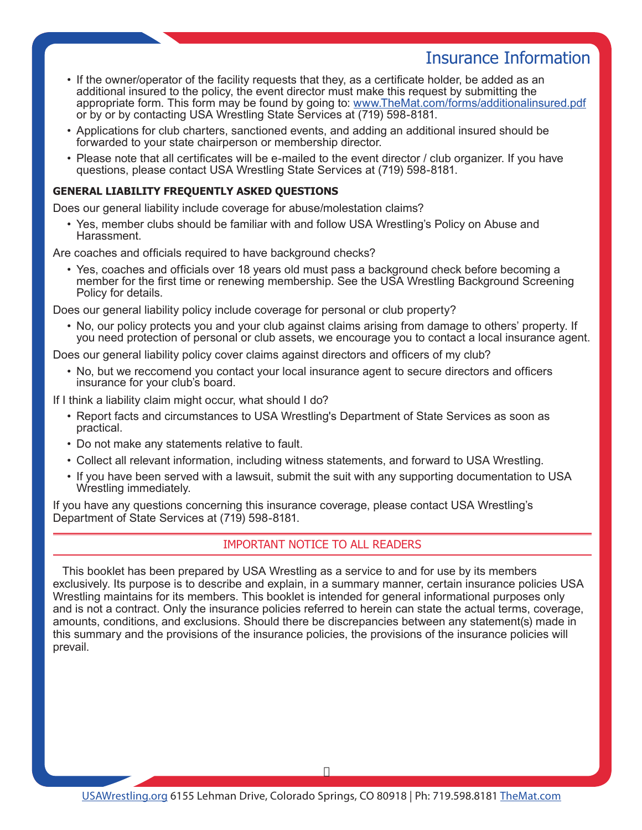# Insurance Information

- If the owner/operator of the facility requests that they, as a certificate holder, be added as an additional insured to the policy, the event director must make this request by submitting the appropriate form. This form may be found by going to: [www.TheMat.com/forms/additionalinsured.pdf](www.themat.com/forms/additionalinsured.pdf) or by or by contacting USA Wrestling State Services at (719) 598-8181.
- • Applications for club charters, sanctioned events, and adding an additional insured should be forwarded to your state chairperson or membership director.
- Please note that all certificates will be e-mailed to the event director / club organizer. If you have questions, please contact USA Wrestling State Services at (719) 598-8181.

### **GENERAL LIABILITY FREQUENTLY ASKED QUESTIONS**

Does our general liability include coverage for abuse/molestation claims?

• Yes, member clubs should be familiar with and follow USA Wrestling's Policy on Abuse and Harassment.

Are coaches and officials required to have background checks?

• Yes, coaches and officials over 18 years old must pass a background check before becoming a member for the first time or renewing membership. See the USA Wrestling Background Screening Policy for details.

Does our general liability policy include coverage for personal or club property?

• No, our policy protects you and your club against claims arising from damage to others' property. If you need protection of personal or club assets, we encourage you to contact a local insurance agent.

Does our general liability policy cover claims against directors and officers of my club?

• No, but we reccomend you contact your local insurance agent to secure directors and officers insurance for your club's board.

If I think a liability claim might occur, what should I do?

- Report facts and circumstances to USA Wrestling's Department of State Services as soon as practical.
- Do not make any statements relative to fault.
- • Collect all relevant information, including witness statements, and forward to USA Wrestling.
- If you have been served with a lawsuit, submit the suit with any supporting documentation to USA Wrestling immediately.

If you have any questions concerning this insurance coverage, please contact USA Wrestling's Department of State Services at (719) 598-8181.

### IMPORTANT NOTICE TO ALL READERS

This booklet has been prepared by USA Wrestling as a service to and for use by its members exclusively. Its purpose is to describe and explain, in a summary manner, certain insurance policies USA Wrestling maintains for its members. This booklet is intended for general informational purposes only and is not a contract. Only the insurance policies referred to herein can state the actual terms, coverage, amounts, conditions, and exclusions. Should there be discrepancies between any statement(s) made in this summary and the provisions of the insurance policies, the provisions of the insurance policies will prevail.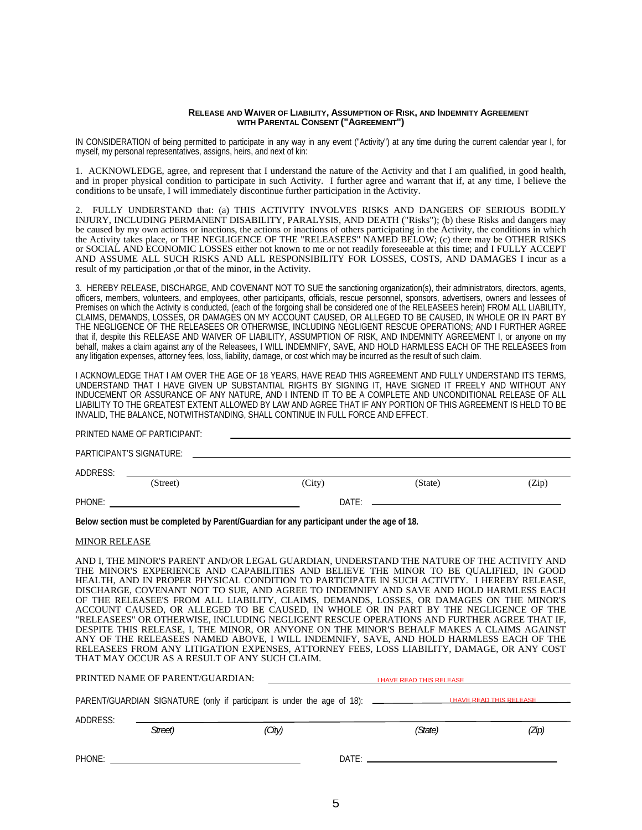#### **RELEASE AND WAIVER OF LIABILITY, ASSUMPTION OF RISK, AND INDEMNITY AGREEMENT WITH PARENTAL CONSENT ("AGREEMENT")**

IN CONSIDERATION of being permitted to participate in any way in any event ("Activity") at any time during the current calendar year I, for myself, my personal representatives, assigns, heirs, and next of kin:

1. ACKNOWLEDGE, agree, and represent that I understand the nature of the Activity and that I am qualified, in good health, and in proper physical condition to participate in such Activity. I further agree and warrant that if, at any time, I believe the conditions to be unsafe, I will immediately discontinue further participation in the Activity.

2. FULLY UNDERSTAND that: (a) THIS ACTIVITY INVOLVES RISKS AND DANGERS OF SERIOUS BODILY INJURY, INCLUDING PERMANENT DISABILITY, PARALYSIS, AND DEATH ("Risks"); (b) these Risks and dangers may be caused by my own actions or inactions, the actions or inactions of others participating in the Activity, the conditions in which the Activity takes place, or THE NEGLIGENCE OF THE "RELEASEES" NAMED BELOW; (c) there may be OTHER RISKS or SOCIAL AND ECONOMIC LOSSES either not known to me or not readily foreseeable at this time; and I FULLY ACCEPT AND ASSUME ALL SUCH RISKS AND ALL RESPONSIBILITY FOR LOSSES, COSTS, AND DAMAGES I incur as a result of my participation ,or that of the minor, in the Activity.

3. HEREBY RELEASE, DISCHARGE, AND COVENANT NOT TO SUE the sanctioning organization(s), their administrators, directors, agents, officers, members, volunteers, and employees, other participants, officials, rescue personnel, sponsors, advertisers, owners and lessees of Premises on which the Activity is conducted, (each of the forgoing shall be considered one of the RELEASEES herein) FROM ALL LIABILITY, CLAIMS, DEMANDS, LOSSES, OR DAMAGES ON MY ACCOUNT CAUSED, OR ALLEGED TO BE CAUSED, IN WHOLE OR IN PART BY THE NEGLIGENCE OF THE RELEASEES OR OTHERWISE, INCLUDING NEGLIGENT RESCUE OPERATIONS; AND I FURTHER AGREE that if, despite this RELEASE AND WAIVER OF LIABILITY, ASSUMPTION OF RISK, AND INDEMNITY AGREEMENT I, or anyone on my behalf, makes a claim against any of the Releasees, I WILL INDEMNIFY, SAVE, AND HOLD HARMLESS EACH OF THE RELEASEES from any litigation expenses, attorney fees, loss, liability, damage, or cost which may be incurred as the result of such claim.

I ACKNOWLEDGE THAT I AM OVER THE AGE OF 18 YEARS, HAVE READ THIS AGREEMENT AND FULLY UNDERSTAND ITS TERMS, UNDERSTAND THAT I HAVE GIVEN UP SUBSTANTIAL RIGHTS BY SIGNING IT, HAVE SIGNED IT FREELY AND WITHOUT ANY INDUCEMENT OR ASSURANCE OF ANY NATURE, AND I INTEND IT TO BE A COMPLETE AND UNCONDITIONAL RELEASE OF ALL LIABILITY TO THE GREATEST EXTENT ALLOWED BY LAW AND AGREE THAT IF ANY PORTION OF THIS AGREEMENT IS HELD TO BE INVALID, THE BALANCE, NOTWITHSTANDING, SHALL CONTINUE IN FULL FORCE AND EFFECT.

PRINTED NAME OF PARTICIPANT:

|          | PARTICIPANT'S SIGNATURE: |        |         |       |
|----------|--------------------------|--------|---------|-------|
| ADDRESS: |                          |        |         |       |
|          | (Street)                 | (City) | (State) | (Zip) |
| PHONE:   |                          | DATE:  |         |       |

**Below section must be completed by Parent/Guardian for any participant under the age of 18.**

#### MINOR RELEASE

AND I, THE MINOR'S PARENT AND/OR LEGAL GUARDIAN, UNDERSTAND THE NATURE OF THE ACTIVITY AND THE MINOR'S EXPERIENCE AND CAPABILITIES AND BELIEVE THE MINOR TO BE QUALIFIED, IN GOOD HEALTH, AND IN PROPER PHYSICAL CONDITION TO PARTICIPATE IN SUCH ACTIVITY. I HEREBY RELEASE, DISCHARGE, COVENANT NOT TO SUE, AND AGREE TO INDEMNIFY AND SAVE AND HOLD HARMLESS EACH OF THE RELEASEE'S FROM ALL LIABILITY, CLAIMS, DEMANDS, LOSSES, OR DAMAGES ON THE MINOR'S ACCOUNT CAUSED, OR ALLEGED TO BE CAUSED, IN WHOLE OR IN PART BY THE NEGLIGENCE OF THE "RELEASEES" OR OTHERWISE, INCLUDING NEGLIGENT RESCUE OPERATIONS AND FURTHER AGREE THAT IF, DESPITE THIS RELEASE, I, THE MINOR, OR ANYONE ON THE MINOR'S BEHALF MAKES A CLAIMS AGAINST ANY OF THE RELEASEES NAMED ABOVE, I WILL INDEMNIFY, SAVE, AND HOLD HARMLESS EACH OF THE RELEASEES FROM ANY LITIGATION EXPENSES, ATTORNEY FEES, LOSS LIABILITY, DAMAGE, OR ANY COST THAT MAY OCCUR AS A RESULT OF ANY SUCH CLAIM.

|          | PRINTED NAME OF PARENT/GUARDIAN: |                                                                                        | <u>I HAVE READ THIS RELEASE Express that the contract of the contract of the contract of the contract of the contract of the contract of the contract of the contract of the contract of the contract of the contract of the con</u> |                                 |       |  |
|----------|----------------------------------|----------------------------------------------------------------------------------------|--------------------------------------------------------------------------------------------------------------------------------------------------------------------------------------------------------------------------------------|---------------------------------|-------|--|
|          |                                  | PARENT/GUARDIAN SIGNATURE (only if participant is under the age of 18): ______________ |                                                                                                                                                                                                                                      | <b>I HAVE READ THIS RELEASE</b> |       |  |
| ADDRESS: | Street)                          | (City)                                                                                 |                                                                                                                                                                                                                                      | (State)                         | (Zip) |  |
| PHONE:   |                                  |                                                                                        |                                                                                                                                                                                                                                      | DATF:                           |       |  |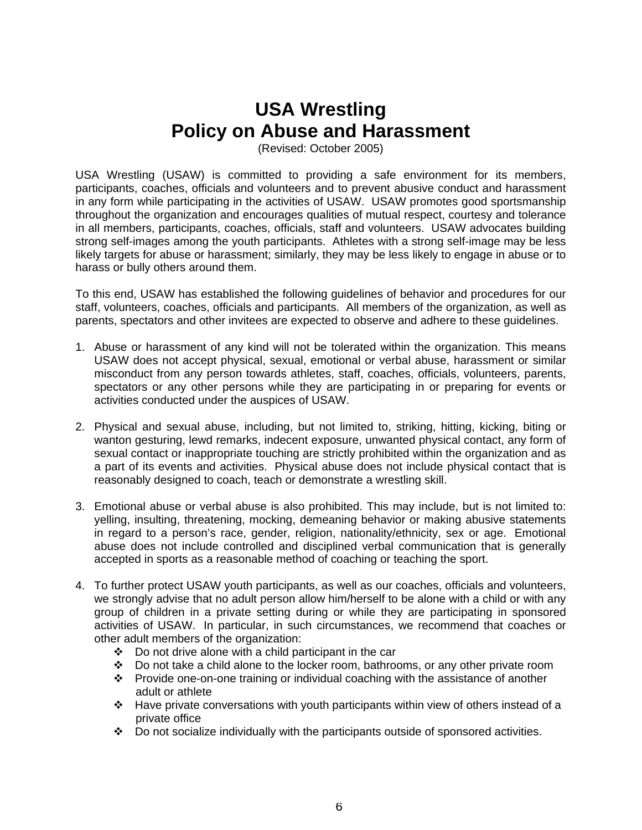# **USA Wrestling Policy on Abuse and Harassment**

(Revised: October 2005)

USA Wrestling (USAW) is committed to providing a safe environment for its members, participants, coaches, officials and volunteers and to prevent abusive conduct and harassment in any form while participating in the activities of USAW. USAW promotes good sportsmanship throughout the organization and encourages qualities of mutual respect, courtesy and tolerance in all members, participants, coaches, officials, staff and volunteers. USAW advocates building strong self-images among the youth participants. Athletes with a strong self-image may be less likely targets for abuse or harassment; similarly, they may be less likely to engage in abuse or to harass or bully others around them.

To this end, USAW has established the following guidelines of behavior and procedures for our staff, volunteers, coaches, officials and participants. All members of the organization, as well as parents, spectators and other invitees are expected to observe and adhere to these guidelines.

- 1. Abuse or harassment of any kind will not be tolerated within the organization. This means USAW does not accept physical, sexual, emotional or verbal abuse, harassment or similar misconduct from any person towards athletes, staff, coaches, officials, volunteers, parents, spectators or any other persons while they are participating in or preparing for events or activities conducted under the auspices of USAW.
- 2. Physical and sexual abuse, including, but not limited to, striking, hitting, kicking, biting or wanton gesturing, lewd remarks, indecent exposure, unwanted physical contact, any form of sexual contact or inappropriate touching are strictly prohibited within the organization and as a part of its events and activities. Physical abuse does not include physical contact that is reasonably designed to coach, teach or demonstrate a wrestling skill.
- 3. Emotional abuse or verbal abuse is also prohibited. This may include, but is not limited to: yelling, insulting, threatening, mocking, demeaning behavior or making abusive statements in regard to a person's race, gender, religion, nationality/ethnicity, sex or age. Emotional abuse does not include controlled and disciplined verbal communication that is generally accepted in sports as a reasonable method of coaching or teaching the sport.
- 4. To further protect USAW youth participants, as well as our coaches, officials and volunteers, we strongly advise that no adult person allow him/herself to be alone with a child or with any group of children in a private setting during or while they are participating in sponsored activities of USAW. In particular, in such circumstances, we recommend that coaches or other adult members of the organization:
	- $\div$  Do not drive alone with a child participant in the car
	- $\div$  Do not take a child alone to the locker room, bathrooms, or any other private room
	- $\cdot \cdot$  Provide one-on-one training or individual coaching with the assistance of another adult or athlete
	- $\cdot \cdot$  Have private conversations with youth participants within view of others instead of a private office
	- Do not socialize individually with the participants outside of sponsored activities.